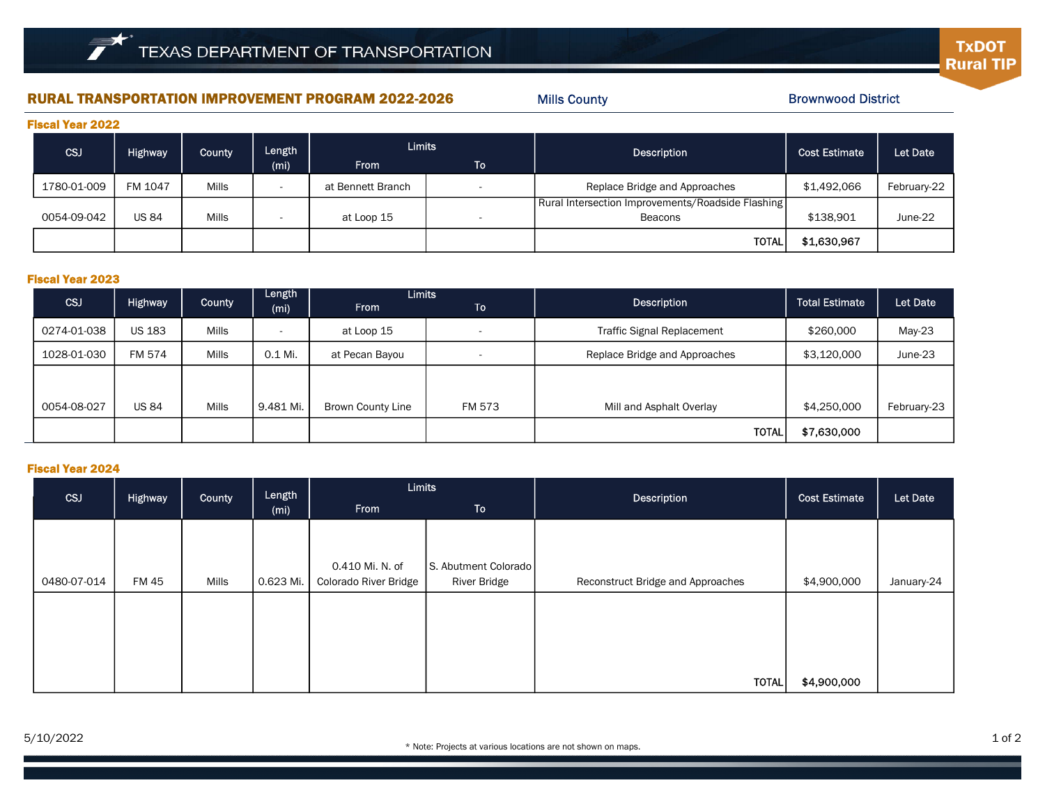# RURAL TRANSPORTATION IMPROVEMENT PROGRAM 2022-2026 Mills County Mills County Brownwood District

Mills County

**TxDOT Rural TIP** 

| <b>Fiscal Year 2022</b> |                |              |                          |                   |                          |                                                   |                      |             |  |  |
|-------------------------|----------------|--------------|--------------------------|-------------------|--------------------------|---------------------------------------------------|----------------------|-------------|--|--|
| <b>CSJ</b>              | <b>Highway</b> | County       | Length                   | <b>Limits</b>     |                          | Description                                       | <b>Cost Estimate</b> | Let Date    |  |  |
|                         |                |              | (m <sub>i</sub> )        | <b>From</b>       | ا To                     |                                                   |                      |             |  |  |
| 1780-01-009             | FM 1047        | Mills        | $\overline{\phantom{a}}$ | at Bennett Branch | $\overline{\phantom{0}}$ | Replace Bridge and Approaches                     | \$1,492,066          | February-22 |  |  |
|                         |                |              |                          |                   |                          | Rural Intersection Improvements/Roadside Flashing |                      |             |  |  |
| 0054-09-042             | <b>US 84</b>   | <b>Mills</b> | $\overline{\phantom{a}}$ | at Loop 15        | $\overline{\phantom{0}}$ | Beacons                                           | \$138,901            | June-22     |  |  |
|                         |                |              |                          |                   |                          | <b>TOTAL</b>                                      | \$1,630,967          |             |  |  |

#### Fiscal Year 2023

|             | <b>Highway</b> | County | Length<br>(m <sub>i</sub> ) | Limits                   |                          |                                   | <b>Total Estimate</b> |             |
|-------------|----------------|--------|-----------------------------|--------------------------|--------------------------|-----------------------------------|-----------------------|-------------|
| CSJ         |                |        |                             | <b>From</b>              | To                       | Description                       |                       | Let Date    |
| 0274-01-038 | <b>US 183</b>  | Mills  | $\overline{\phantom{a}}$    | at Loop 15               | $\overline{\phantom{a}}$ | <b>Traffic Signal Replacement</b> | \$260,000             | May-23      |
| 1028-01-030 | FM 574         | Mills  | 0.1 Mi.                     | at Pecan Bayou           | $\sim$                   | Replace Bridge and Approaches     | \$3,120,000           | June-23     |
|             |                |        |                             |                          |                          |                                   |                       |             |
| 0054-08-027 | <b>US 84</b>   | Mills  | 9.481 Mi.                   | <b>Brown County Line</b> | FM 573                   | Mill and Asphalt Overlay          | \$4,250,000           | February-23 |
|             |                |        |                             |                          |                          | <b>TOTAL</b>                      | \$7,630,000           |             |

### Fiscal Year 2024

| <b>CSJ</b>  | Highway | County | Length<br>(m <sub>i</sub> ) | <b>Limits</b>                |                      | Description                       | <b>Cost Estimate</b> | Let Date   |
|-------------|---------|--------|-----------------------------|------------------------------|----------------------|-----------------------------------|----------------------|------------|
|             |         |        |                             | <b>From</b>                  | <b>To</b>            |                                   |                      |            |
|             |         |        |                             |                              |                      |                                   |                      |            |
|             |         |        |                             |                              |                      |                                   |                      |            |
|             |         |        |                             | 0.410 Mi. N. of              | S. Abutment Colorado |                                   |                      |            |
| 0480-07-014 | FM 45   | Mills  | 0.623 Mi.                   | <b>Colorado River Bridge</b> | <b>River Bridge</b>  | Reconstruct Bridge and Approaches | \$4,900,000          | January-24 |
|             |         |        |                             |                              |                      |                                   |                      |            |
|             |         |        |                             |                              |                      |                                   |                      |            |
|             |         |        |                             |                              |                      |                                   |                      |            |
|             |         |        |                             |                              |                      |                                   |                      |            |
|             |         |        |                             |                              |                      | <b>TOTAL</b>                      | \$4,900,000          |            |